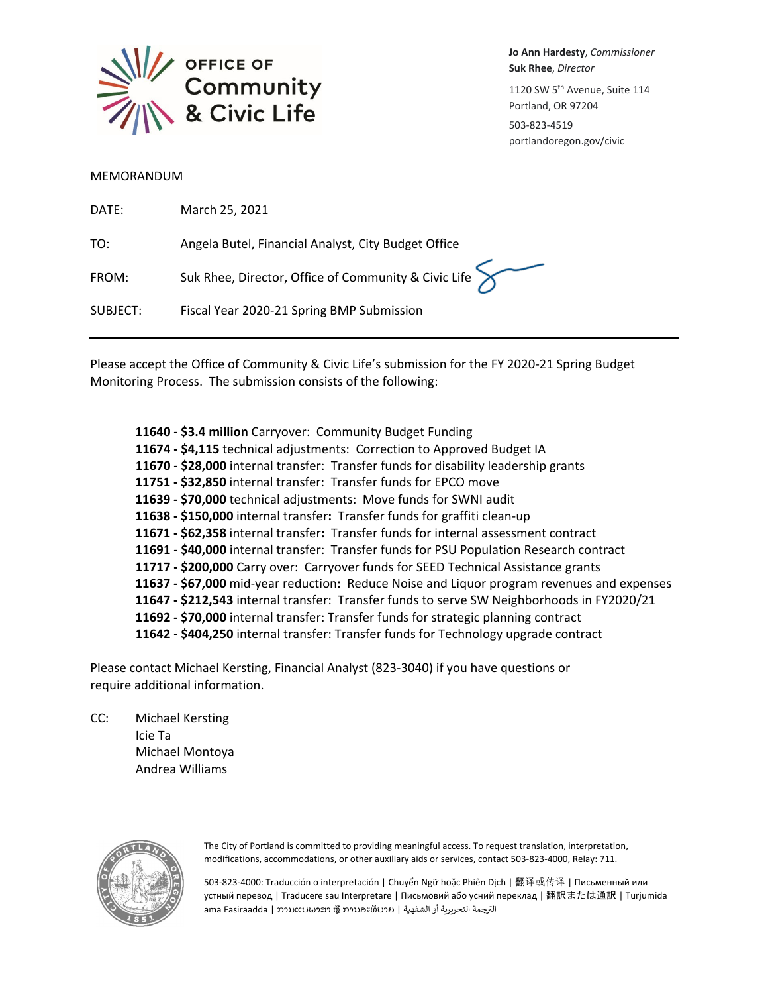

**Jo Ann Hardesty**, *Commissioner* **Suk Rhee**, *Director* 1120 SW 5<sup>th</sup> Avenue, Suite 114 Portland, OR 97204 503‐823‐4519 portlandoregon.gov/civic

#### MEMORANDUM

| DATE:    | March 25, 2021                                       |
|----------|------------------------------------------------------|
| TO:      | Angela Butel, Financial Analyst, City Budget Office  |
| FROM:    | Suk Rhee, Director, Office of Community & Civic Life |
| SUBJECT: | Fiscal Year 2020-21 Spring BMP Submission            |

Please accept the Office of Community & Civic Life's submission for the FY 2020‐21 Spring Budget Monitoring Process. The submission consists of the following:

 **‐ \$3.4 million** Carryover: Community Budget Funding  **‐ \$4,115** technical adjustments: Correction to Approved Budget IA  **‐ \$28,000** internal transfer: Transfer funds for disability leadership grants  **‐ \$32,850** internal transfer: Transfer funds for EPCO move  **‐ \$70,000** technical adjustments: Move funds for SWNI audit  **‐ \$150,000** internal transfer**:** Transfer funds for graffiti clean‐up  **‐ \$62,358** internal transfer**:** Transfer funds for internal assessment contract  **‐ \$40,000** internal transfer: Transfer funds for PSU Population Research contract  **‐ \$200,000** Carry over: Carryover funds for SEED Technical Assistance grants **‐ \$67,000** mid‐year reduction**:** Reduce Noise and Liquor program revenues and expenses  **‐ \$212,543** internal transfer: Transfer funds to serve SW Neighborhoods in FY2020/21  **‐ \$70,000** internal transfer: Transfer funds for strategic planning contract  **‐ \$404,250** internal transfer: Transfer funds for Technology upgrade contract

Please contact Michael Kersting, Financial Analyst (823‐3040) if you have questions or require additional information.

CC: Michael Kersting Icie Ta Michael Montoya Andrea Williams



The City of Portland is committed to providing meaningful access. To request translation, interpretation, modifications, accommodations, or other auxiliary aids or services, contact 503‐823‐4000, Relay: 711.

503‐823‐4000: Traducción o interpretación | Chuyển Ngữ hoặc Phiên Dịch | 翻译或传译 | Письменный или устный перевод | Traducere sau Interpretare | Письмовий або усний переклад | 翻訳または通訳 | Turjumida ama Fasiraadda | ການແປພາສາ ຫຼື ການອະທິບາຍ | الترجمة التحريرية أو الشفهية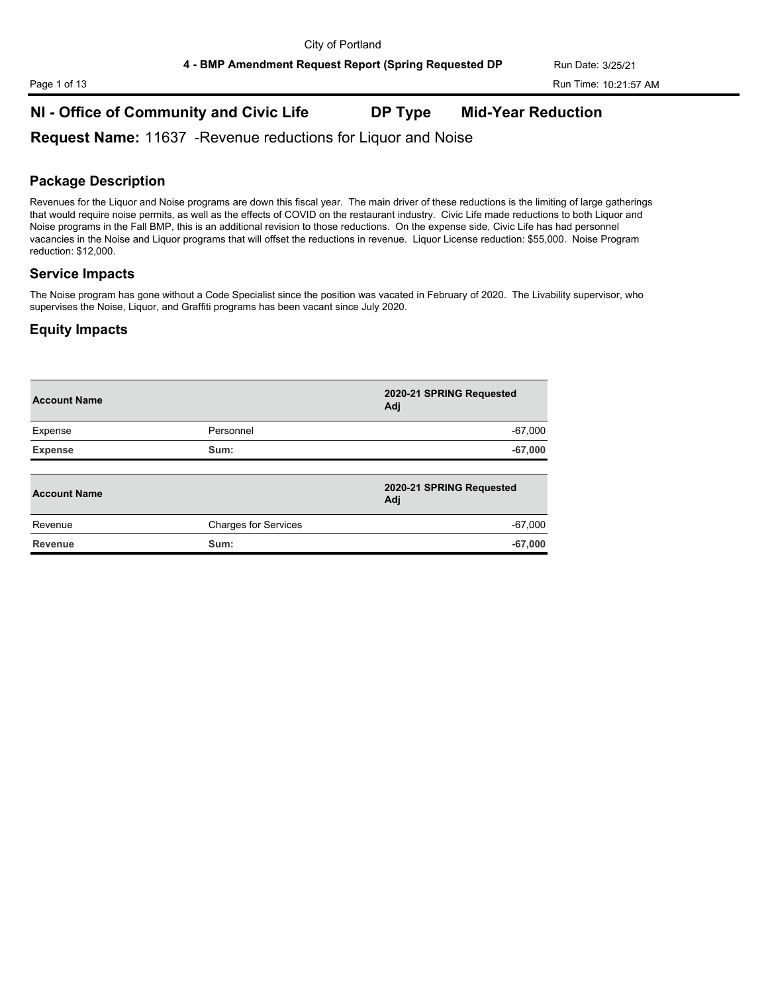# **NI - Office of Community and Civic Life DP Type Mid-Year Reduction**

**Request Name:** 11637 -Revenue reductions for Liquor and Noise

### **Package Description**

Revenues for the Liquor and Noise programs are down this fiscal year. The main driver of these reductions is the limiting of large gatherings that would require noise permits, as well as the effects of COVID on the restaurant industry. Civic Life made reductions to both Liquor and Noise programs in the Fall BMP, this is an additional revision to those reductions. On the expense side, Civic Life has had personnel vacancies in the Noise and Liquor programs that will offset the reductions in revenue. Liquor License reduction: \$55,000. Noise Program reduction: \$12,000.

### **Service Impacts**

The Noise program has gone without a Code Specialist since the position was vacated in February of 2020. The Livability supervisor, who supervises the Noise, Liquor, and Graffiti programs has been vacant since July 2020.

| <b>Account Name</b> |                             | 2020-21 SPRING Requested<br>Adj |
|---------------------|-----------------------------|---------------------------------|
| Expense             | Personnel                   | $-67,000$                       |
| <b>Expense</b>      | Sum:                        | $-67,000$                       |
|                     |                             |                                 |
| <b>Account Name</b> |                             | 2020-21 SPRING Requested<br>Adj |
| Revenue             | <b>Charges for Services</b> | $-67,000$                       |
| <b>Revenue</b>      | Sum:                        | $-67,000$                       |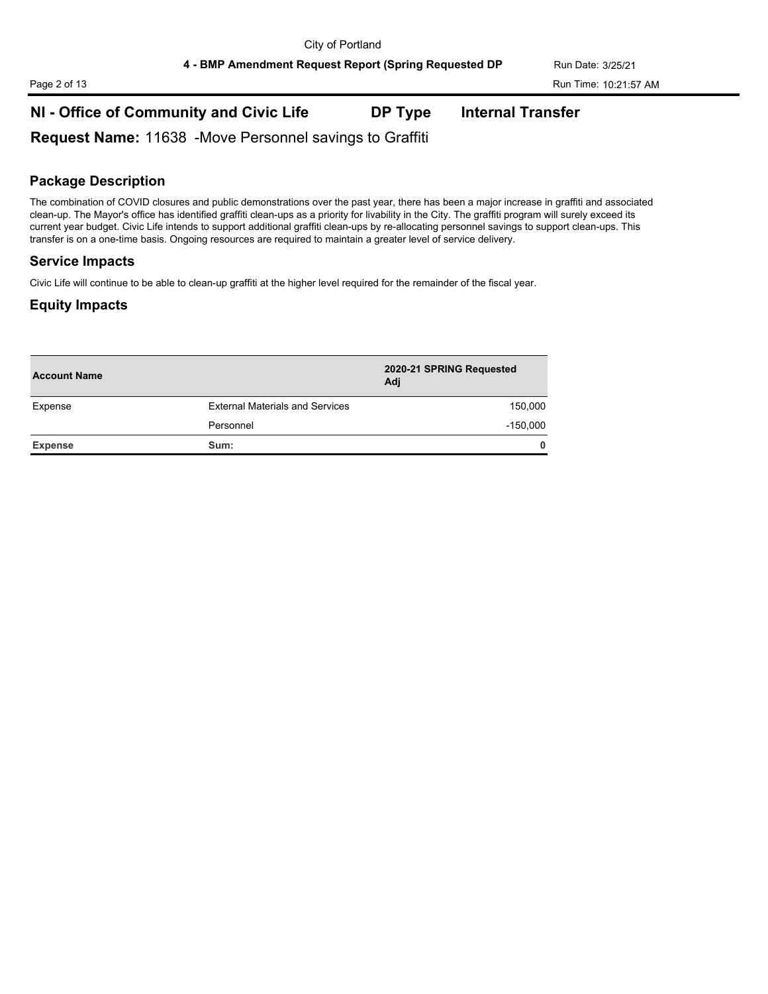Page 2 of 13 Run Time: 10:21:57 AM

# **NI - Office of Community and Civic Life DP Type Internal Transfer**

**Request Name:** 11638 -Move Personnel savings to Graffiti

### **Package Description**

The combination of COVID closures and public demonstrations over the past year, there has been a major increase in graffiti and associated clean-up. The Mayor's office has identified graffiti clean-ups as a priority for livability in the City. The graffiti program will surely exceed its current year budget. Civic Life intends to support additional graffiti clean-ups by re-allocating personnel savings to support clean-ups. This transfer is on a one-time basis. Ongoing resources are required to maintain a greater level of service delivery.

### **Service Impacts**

Civic Life will continue to be able to clean-up graffiti at the higher level required for the remainder of the fiscal year.

| <b>Account Name</b> |                                        | 2020-21 SPRING Requested<br>Adj |
|---------------------|----------------------------------------|---------------------------------|
| Expense             | <b>External Materials and Services</b> | 150,000                         |
|                     | Personnel                              | $-150,000$                      |
| <b>Expense</b>      | Sum:                                   | 0                               |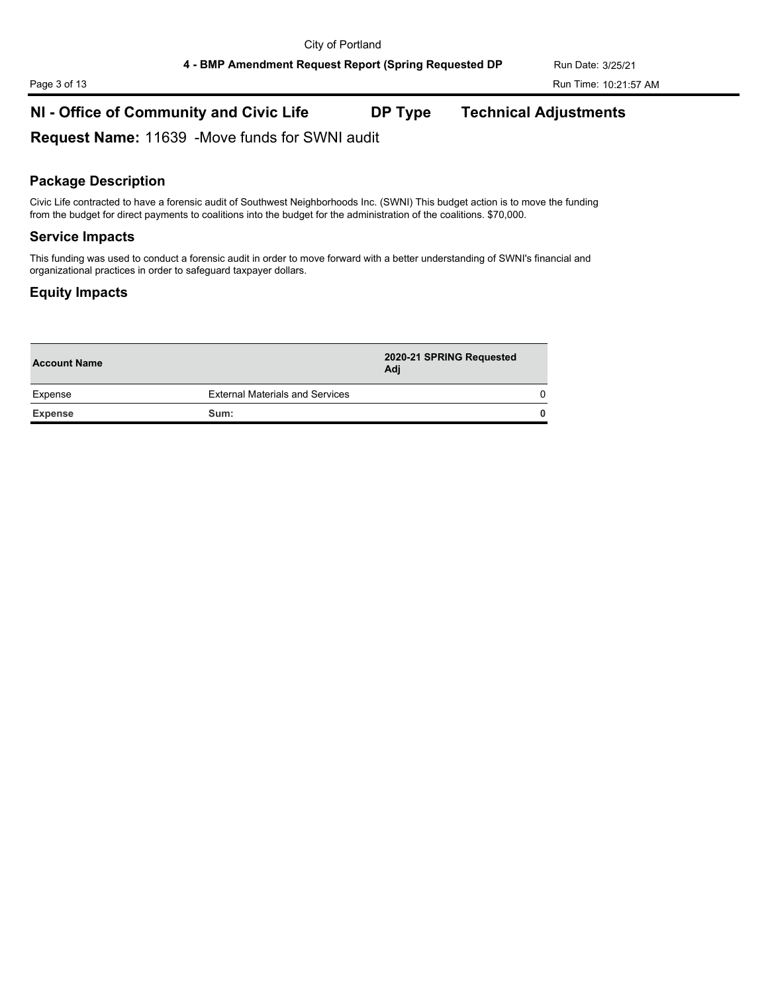# **NI - Office of Community and Civic Life DP Type Technical Adjustments**

**Request Name:** 11639 -Move funds for SWNI audit

# **Package Description**

Civic Life contracted to have a forensic audit of Southwest Neighborhoods Inc. (SWNI) This budget action is to move the funding from the budget for direct payments to coalitions into the budget for the administration of the coalitions. \$70,000.

# **Service Impacts**

This funding was used to conduct a forensic audit in order to move forward with a better understanding of SWNI's financial and organizational practices in order to safeguard taxpayer dollars.

| <b>Account Name</b> |                                        | 2020-21 SPRING Requested<br>Adi |   |
|---------------------|----------------------------------------|---------------------------------|---|
| Expense             | <b>External Materials and Services</b> |                                 | 0 |
| <b>Expense</b>      | Sum:                                   |                                 |   |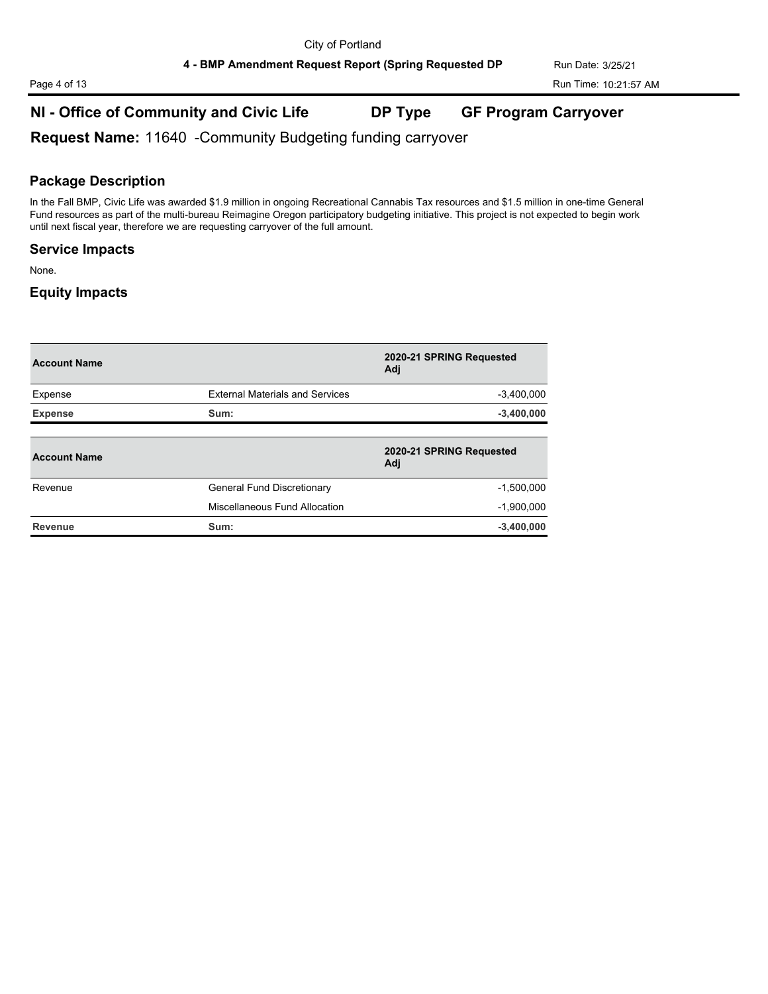# **NI - Office of Community and Civic Life DP Type GF Program Carryover**

**Request Name:** 11640 -Community Budgeting funding carryover

### **Package Description**

In the Fall BMP, Civic Life was awarded \$1.9 million in ongoing Recreational Cannabis Tax resources and \$1.5 million in one-time General Fund resources as part of the multi-bureau Reimagine Oregon participatory budgeting initiative. This project is not expected to begin work until next fiscal year, therefore we are requesting carryover of the full amount.

#### **Service Impacts**

None.

| <b>Account Name</b> |                                        | 2020-21 SPRING Requested<br>Adi |
|---------------------|----------------------------------------|---------------------------------|
| Expense             | <b>External Materials and Services</b> | $-3,400,000$                    |
| <b>Expense</b>      | Sum:                                   | $-3,400,000$                    |
| <b>Account Name</b> |                                        | 2020-21 SPRING Requested<br>Adj |
| Revenue             | General Fund Discretionary             | $-1,500,000$                    |
|                     | Miscellaneous Fund Allocation          | $-1,900,000$                    |
| <b>Revenue</b>      | Sum:                                   | $-3,400,000$                    |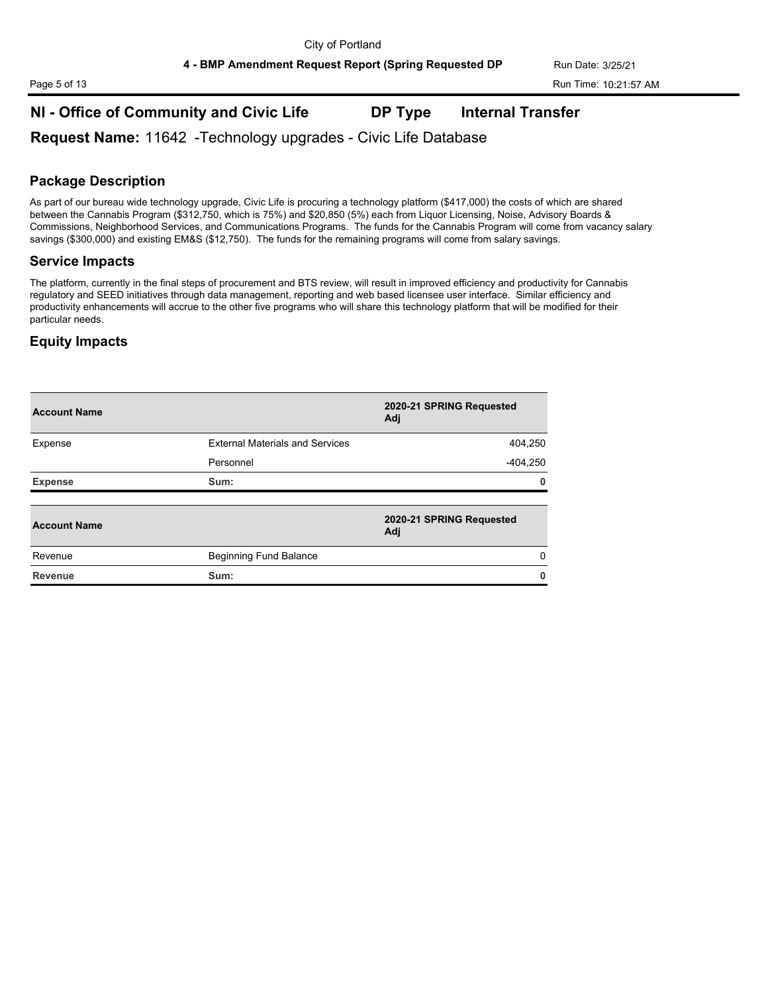# **NI - Office of Community and Civic Life DP Type Internal Transfer**

**Request Name:** 11642 -Technology upgrades - Civic Life Database

### **Package Description**

As part of our bureau wide technology upgrade, Civic Life is procuring a technology platform (\$417,000) the costs of which are shared between the Cannabis Program (\$312,750, which is 75%) and \$20,850 (5%) each from Liquor Licensing, Noise, Advisory Boards & Commissions, Neighborhood Services, and Communications Programs. The funds for the Cannabis Program will come from vacancy salary savings (\$300,000) and existing EM&S (\$12,750). The funds for the remaining programs will come from salary savings.

### **Service Impacts**

The platform, currently in the final steps of procurement and BTS review, will result in improved efficiency and productivity for Cannabis regulatory and SEED initiatives through data management, reporting and web based licensee user interface. Similar efficiency and productivity enhancements will accrue to the other five programs who will share this technology platform that will be modified for their particular needs.

| <b>Account Name</b> |                                        | 2020-21 SPRING Requested<br>Adj |
|---------------------|----------------------------------------|---------------------------------|
| Expense             | <b>External Materials and Services</b> | 404,250                         |
|                     | Personnel                              | $-404,250$                      |
| <b>Expense</b>      | Sum:                                   | $\Omega$                        |
| <b>Account Name</b> |                                        | 2020-21 SPRING Requested<br>Adj |
| Revenue             | <b>Beginning Fund Balance</b>          | $\Omega$                        |
| <b>Revenue</b>      | Sum:                                   | $\mathbf{0}$                    |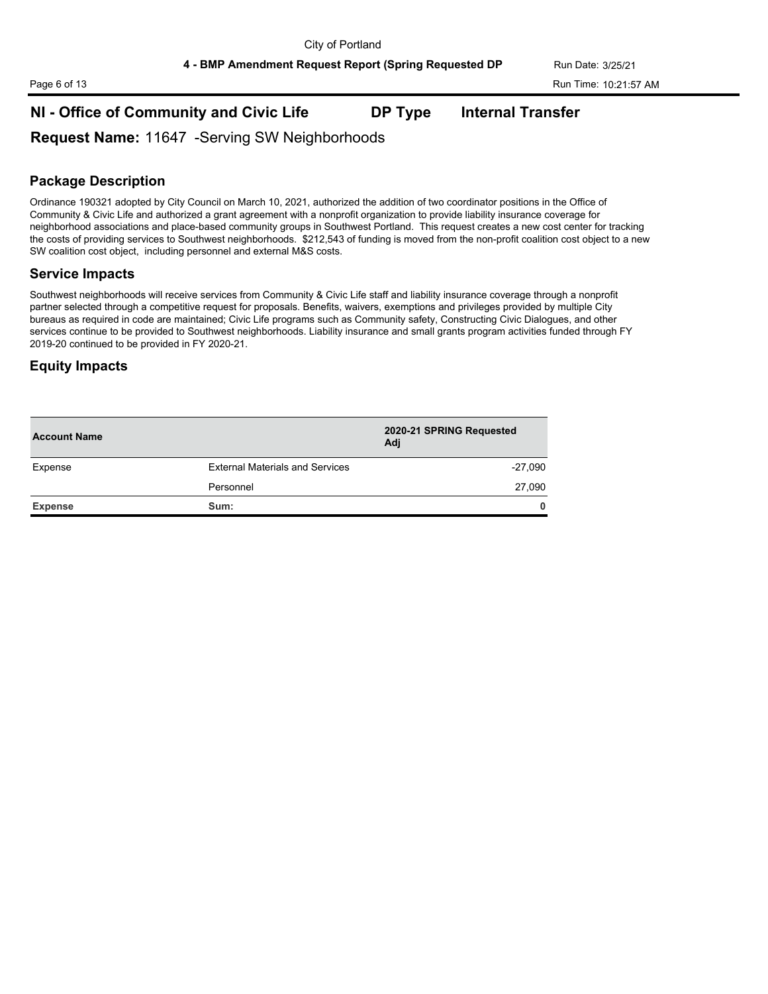Page 6 of 13 Run Time: 10:21:57 AM

# **NI - Office of Community and Civic Life DP Type Internal Transfer**

**Request Name:** 11647 -Serving SW Neighborhoods

## **Package Description**

Ordinance 190321 adopted by City Council on March 10, 2021, authorized the addition of two coordinator positions in the Office of Community & Civic Life and authorized a grant agreement with a nonprofit organization to provide liability insurance coverage for neighborhood associations and place-based community groups in Southwest Portland. This request creates a new cost center for tracking the costs of providing services to Southwest neighborhoods. \$212,543 of funding is moved from the non-profit coalition cost object to a new SW coalition cost object, including personnel and external M&S costs.

### **Service Impacts**

Southwest neighborhoods will receive services from Community & Civic Life staff and liability insurance coverage through a nonprofit partner selected through a competitive request for proposals. Benefits, waivers, exemptions and privileges provided by multiple City bureaus as required in code are maintained; Civic Life programs such as Community safety, Constructing Civic Dialogues, and other services continue to be provided to Southwest neighborhoods. Liability insurance and small grants program activities funded through FY 2019-20 continued to be provided in FY 2020-21.

| <b>Account Name</b> |                                        | 2020-21 SPRING Requested<br>Adi |
|---------------------|----------------------------------------|---------------------------------|
| Expense             | <b>External Materials and Services</b> | $-27,090$                       |
|                     | Personnel                              | 27,090                          |
| <b>Expense</b>      | Sum:                                   |                                 |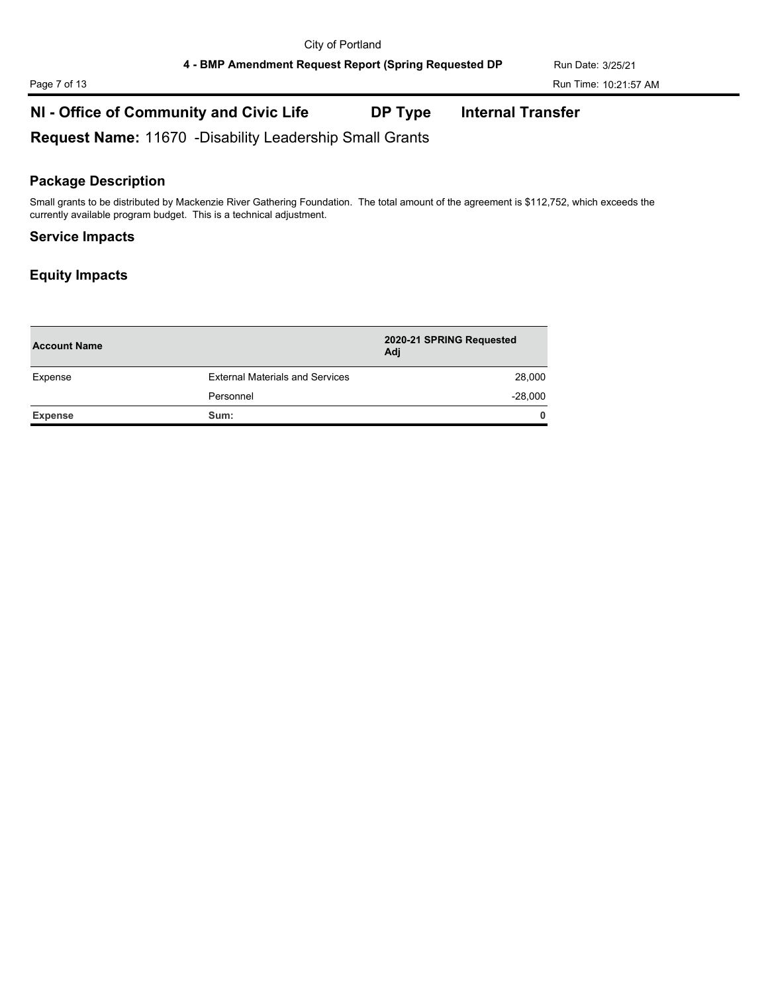# **NI - Office of Community and Civic Life DP Type Internal Transfer**

**Request Name:** 11670 -Disability Leadership Small Grants

### **Package Description**

Small grants to be distributed by Mackenzie River Gathering Foundation. The total amount of the agreement is \$112,752, which exceeds the currently available program budget. This is a technical adjustment.

#### **Service Impacts**

| <b>Account Name</b> |                                        | 2020-21 SPRING Requested<br>Adj |
|---------------------|----------------------------------------|---------------------------------|
| Expense             | <b>External Materials and Services</b> | 28,000                          |
|                     | Personnel                              | $-28,000$                       |
| <b>Expense</b>      | Sum:                                   | $\mathbf{0}$                    |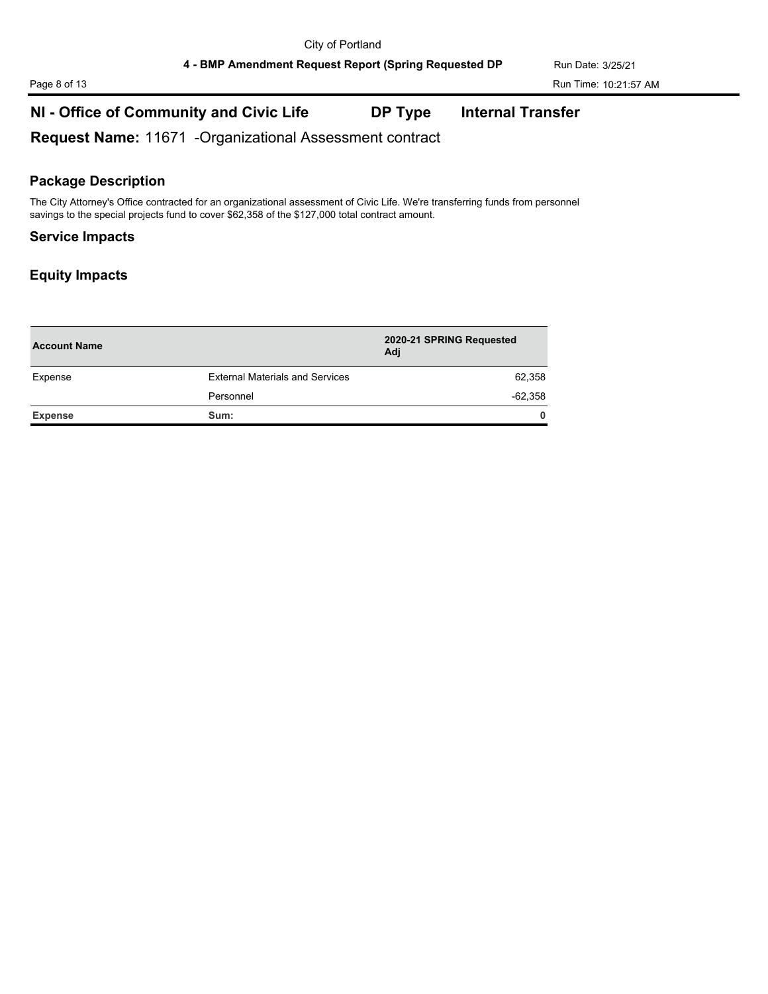Page 8 of 13 Run Time: 10:21:57 AM

# **NI - Office of Community and Civic Life DP Type Internal Transfer**

**Request Name:** 11671 -Organizational Assessment contract

### **Package Description**

The City Attorney's Office contracted for an organizational assessment of Civic Life. We're transferring funds from personnel savings to the special projects fund to cover \$62,358 of the \$127,000 total contract amount.

#### **Service Impacts**

| <b>Account Name</b> |                                        | 2020-21 SPRING Requested<br>Adj |
|---------------------|----------------------------------------|---------------------------------|
| Expense             | <b>External Materials and Services</b> | 62,358                          |
|                     | Personnel                              | $-62,358$                       |
| <b>Expense</b>      | Sum:                                   | 0                               |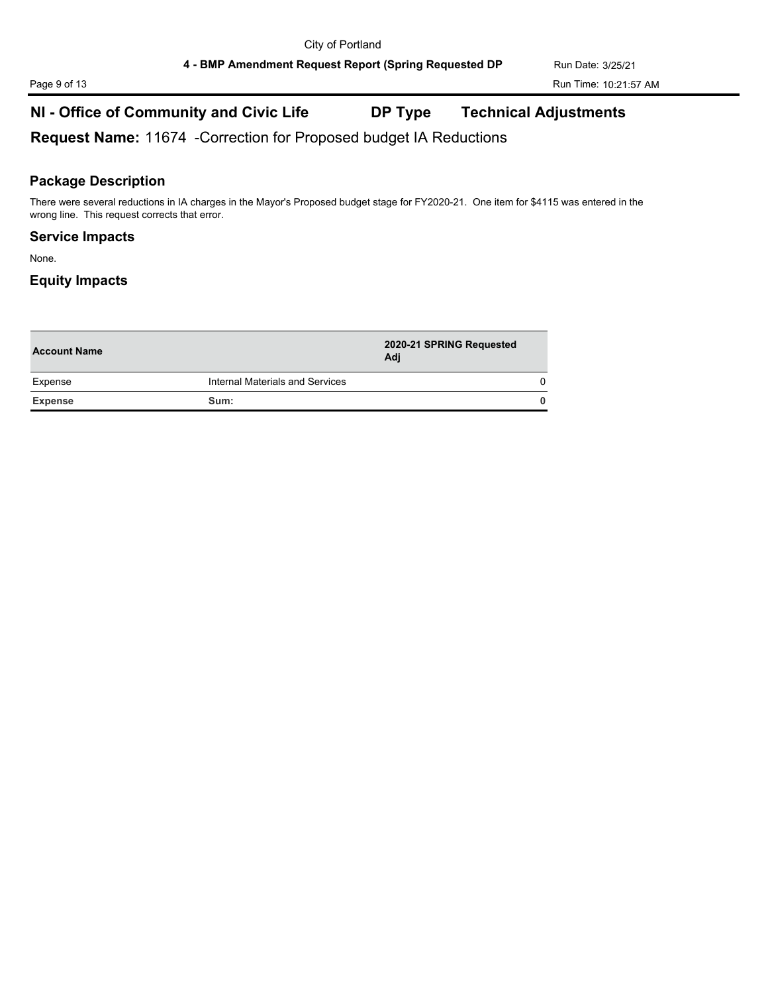# **NI - Office of Community and Civic Life DP Type Technical Adjustments**

**Request Name:** 11674 -Correction for Proposed budget IA Reductions

### **Package Description**

There were several reductions in IA charges in the Mayor's Proposed budget stage for FY2020-21. One item for \$4115 was entered in the wrong line. This request corrects that error.

#### **Service Impacts**

None.

| <b>Account Name</b> |                                 | 2020-21 SPRING Requested<br>Adj |  |
|---------------------|---------------------------------|---------------------------------|--|
| Expense             | Internal Materials and Services |                                 |  |
| <b>Expense</b>      | Sum:                            |                                 |  |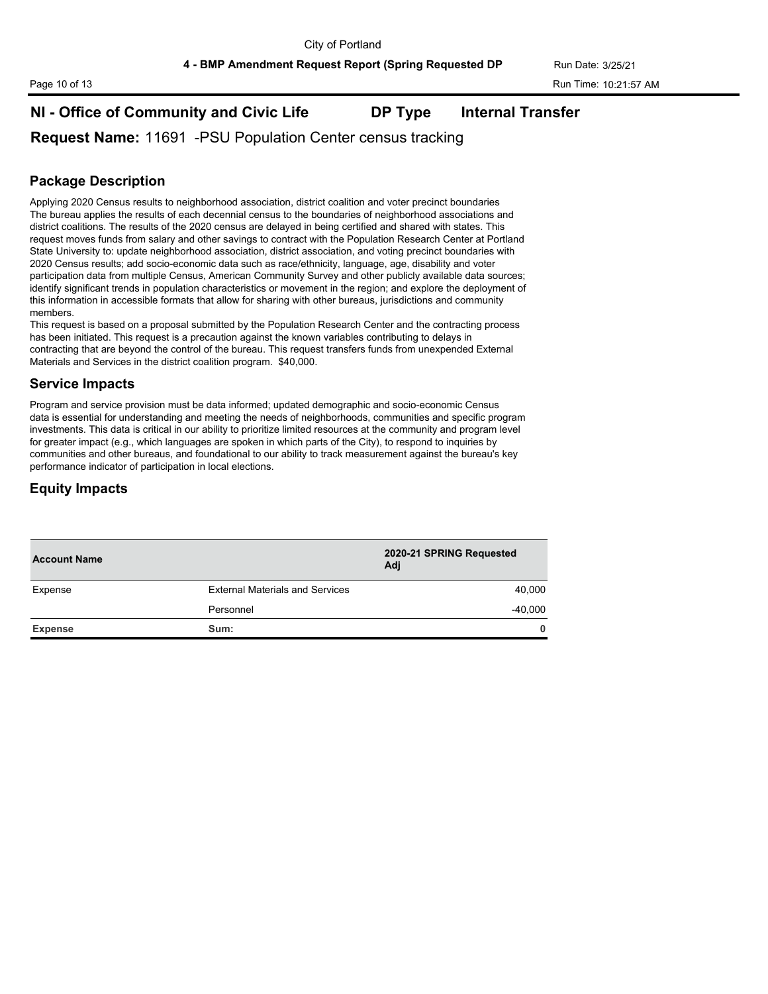# **NI - Office of Community and Civic Life DP Type Internal Transfer**

**Request Name:** 11691 -PSU Population Center census tracking

### **Package Description**

Applying 2020 Census results to neighborhood association, district coalition and voter precinct boundaries The bureau applies the results of each decennial census to the boundaries of neighborhood associations and district coalitions. The results of the 2020 census are delayed in being certified and shared with states. This request moves funds from salary and other savings to contract with the Population Research Center at Portland State University to: update neighborhood association, district association, and voting precinct boundaries with 2020 Census results; add socio-economic data such as race/ethnicity, language, age, disability and voter participation data from multiple Census, American Community Survey and other publicly available data sources; identify significant trends in population characteristics or movement in the region; and explore the deployment of this information in accessible formats that allow for sharing with other bureaus, jurisdictions and community members.

This request is based on a proposal submitted by the Population Research Center and the contracting process has been initiated. This request is a precaution against the known variables contributing to delays in contracting that are beyond the control of the bureau. This request transfers funds from unexpended External Materials and Services in the district coalition program. \$40,000.

#### **Service Impacts**

Program and service provision must be data informed; updated demographic and socio-economic Census data is essential for understanding and meeting the needs of neighborhoods, communities and specific program investments. This data is critical in our ability to prioritize limited resources at the community and program level for greater impact (e.g., which languages are spoken in which parts of the City), to respond to inquiries by communities and other bureaus, and foundational to our ability to track measurement against the bureau's key performance indicator of participation in local elections.

| <b>Account Name</b> |                                        | 2020-21 SPRING Requested<br>Adj |
|---------------------|----------------------------------------|---------------------------------|
| Expense             | <b>External Materials and Services</b> | 40,000                          |
|                     | Personnel                              | $-40,000$                       |
| <b>Expense</b>      | Sum:                                   | 0                               |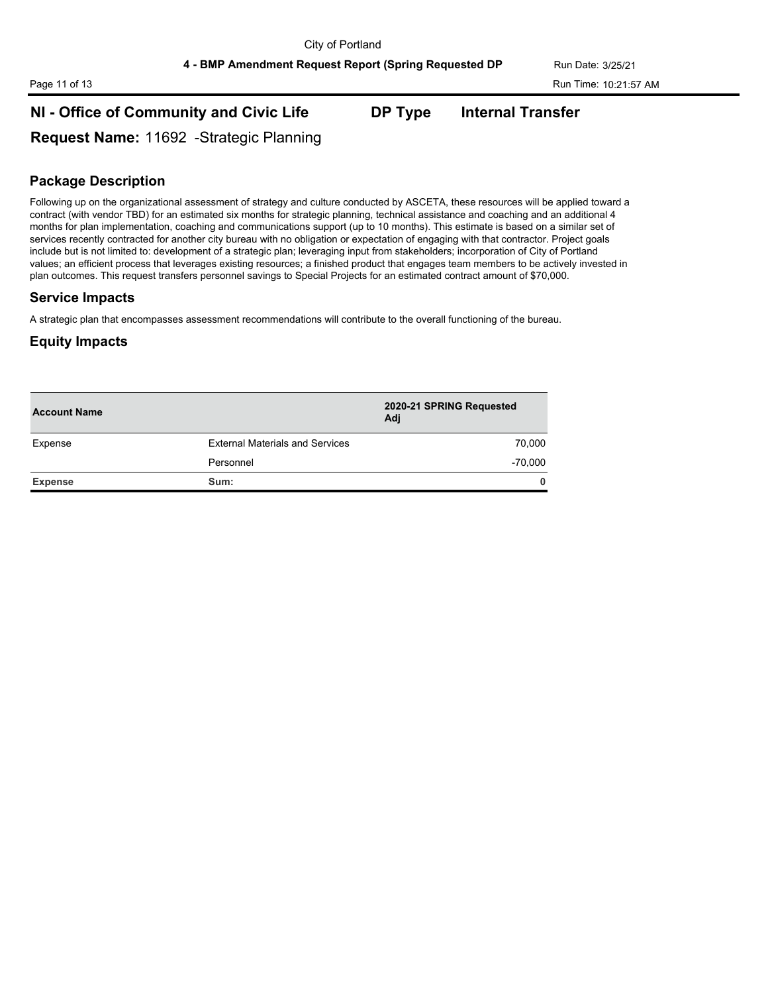Page 11 of 13 Run Time: 10:21:57 AM

# **NI - Office of Community and Civic Life DP Type Internal Transfer**

**Request Name:** 11692 -Strategic Planning

## **Package Description**

Following up on the organizational assessment of strategy and culture conducted by ASCETA, these resources will be applied toward a contract (with vendor TBD) for an estimated six months for strategic planning, technical assistance and coaching and an additional 4 months for plan implementation, coaching and communications support (up to 10 months). This estimate is based on a similar set of services recently contracted for another city bureau with no obligation or expectation of engaging with that contractor. Project goals include but is not limited to: development of a strategic plan; leveraging input from stakeholders; incorporation of City of Portland values; an efficient process that leverages existing resources; a finished product that engages team members to be actively invested in plan outcomes. This request transfers personnel savings to Special Projects for an estimated contract amount of \$70,000.

### **Service Impacts**

A strategic plan that encompasses assessment recommendations will contribute to the overall functioning of the bureau.

| <b>Account Name</b> |                                        | 2020-21 SPRING Requested<br>Adj |
|---------------------|----------------------------------------|---------------------------------|
| Expense             | <b>External Materials and Services</b> | 70,000                          |
|                     | Personnel                              | $-70,000$                       |
| <b>Expense</b>      | Sum:                                   | 0                               |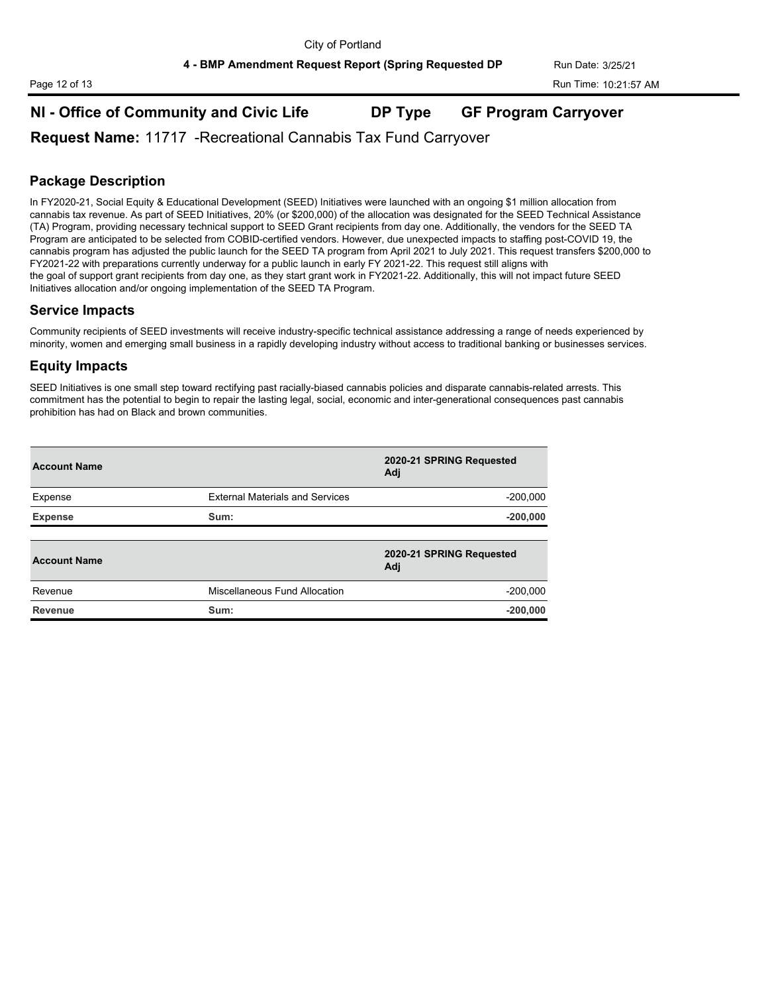# **NI - Office of Community and Civic Life DP Type GF Program Carryover**

**Request Name:** 11717 -Recreational Cannabis Tax Fund Carryover

# **Package Description**

In FY2020-21, Social Equity & Educational Development (SEED) Initiatives were launched with an ongoing \$1 million allocation from cannabis tax revenue. As part of SEED Initiatives, 20% (or \$200,000) of the allocation was designated for the SEED Technical Assistance (TA) Program, providing necessary technical support to SEED Grant recipients from day one. Additionally, the vendors for the SEED TA Program are anticipated to be selected from COBID-certified vendors. However, due unexpected impacts to staffing post-COVID 19, the cannabis program has adjusted the public launch for the SEED TA program from April 2021 to July 2021. This request transfers \$200,000 to FY2021-22 with preparations currently underway for a public launch in early FY 2021-22. This request still aligns with the goal of support grant recipients from day one, as they start grant work in FY2021-22. Additionally, this will not impact future SEED Initiatives allocation and/or ongoing implementation of the SEED TA Program.

### **Service Impacts**

Community recipients of SEED investments will receive industry-specific technical assistance addressing a range of needs experienced by minority, women and emerging small business in a rapidly developing industry without access to traditional banking or businesses services.

### **Equity Impacts**

SEED Initiatives is one small step toward rectifying past racially-biased cannabis policies and disparate cannabis-related arrests. This commitment has the potential to begin to repair the lasting legal, social, economic and inter-generational consequences past cannabis prohibition has had on Black and brown communities.

| <b>Account Name</b> |                                        | 2020-21 SPRING Requested<br>Adj |
|---------------------|----------------------------------------|---------------------------------|
| Expense             | <b>External Materials and Services</b> | $-200,000$                      |
| <b>Expense</b>      | Sum:                                   | $-200,000$                      |
| <b>Account Name</b> |                                        | 2020-21 SPRING Requested<br>Adj |
| Revenue             | Miscellaneous Fund Allocation          | $-200.000$                      |
| <b>Revenue</b>      | Sum:                                   | $-200,000$                      |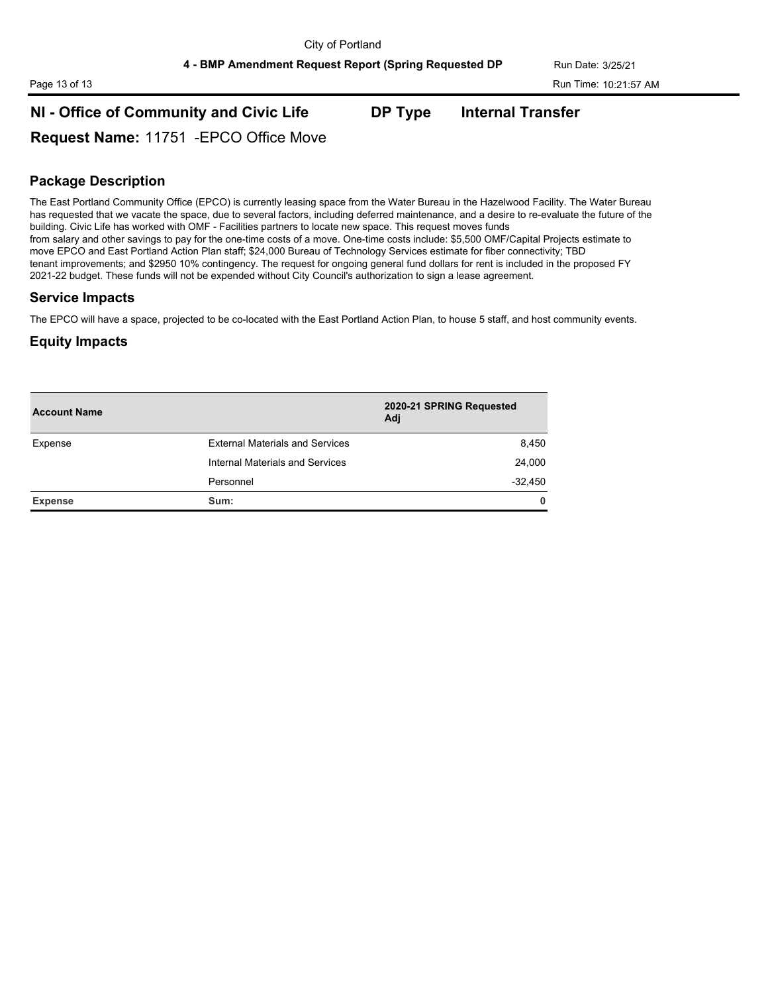Page 13 of 13 **Run Time: 10:21:57 AM** 

# **NI - Office of Community and Civic Life DP Type Internal Transfer**

**Request Name:** 11751 -EPCO Office Move

### **Package Description**

The East Portland Community Office (EPCO) is currently leasing space from the Water Bureau in the Hazelwood Facility. The Water Bureau has requested that we vacate the space, due to several factors, including deferred maintenance, and a desire to re-evaluate the future of the building. Civic Life has worked with OMF - Facilities partners to locate new space. This request moves funds from salary and other savings to pay for the one-time costs of a move. One-time costs include: \$5,500 OMF/Capital Projects estimate to move EPCO and East Portland Action Plan staff; \$24,000 Bureau of Technology Services estimate for fiber connectivity; TBD tenant improvements; and \$2950 10% contingency. The request for ongoing general fund dollars for rent is included in the proposed FY 2021-22 budget. These funds will not be expended without City Council's authorization to sign a lease agreement.

#### **Service Impacts**

The EPCO will have a space, projected to be co-located with the East Portland Action Plan, to house 5 staff, and host community events.

| <b>Account Name</b> |                                        | 2020-21 SPRING Requested<br>Adj |
|---------------------|----------------------------------------|---------------------------------|
| Expense             | <b>External Materials and Services</b> | 8,450                           |
|                     | Internal Materials and Services        | 24,000                          |
|                     | Personnel                              | $-32,450$                       |
| <b>Expense</b>      | Sum:                                   | 0                               |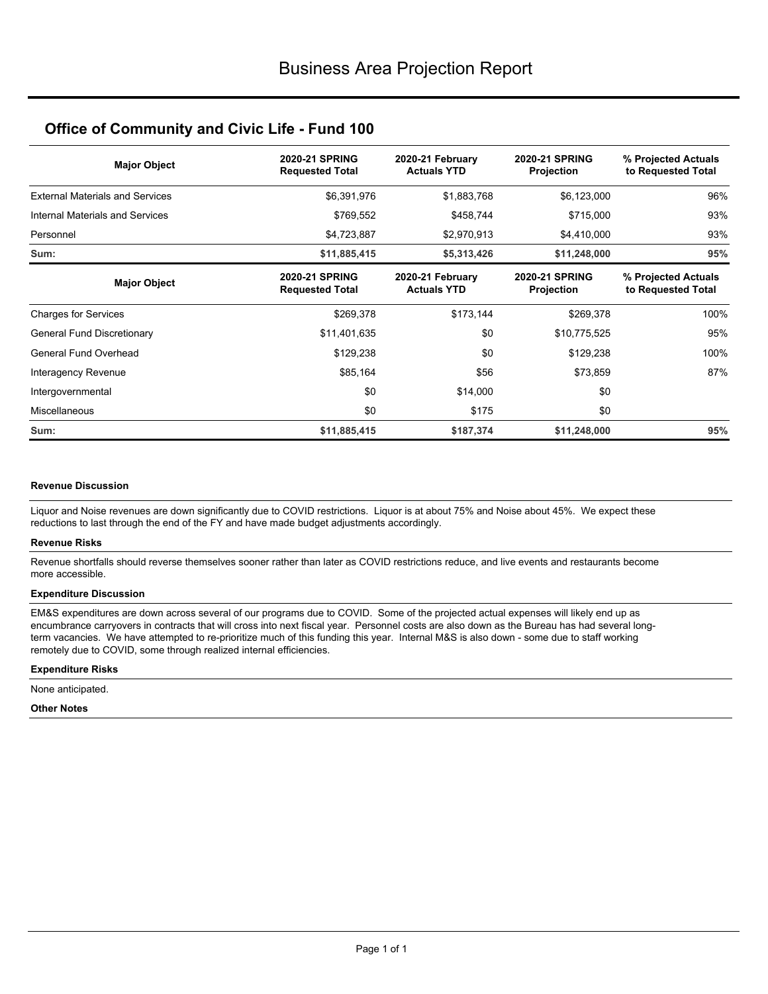| <b>Major Object</b>                    | <b>2020-21 SPRING</b><br><b>Requested Total</b> | 2020-21 February<br><b>Actuals YTD</b> | <b>2020-21 SPRING</b><br>Projection        | % Projected Actuals<br>to Requested Total |  |
|----------------------------------------|-------------------------------------------------|----------------------------------------|--------------------------------------------|-------------------------------------------|--|
| <b>External Materials and Services</b> | \$6,391,976                                     | \$1,883,768                            | \$6,123,000                                | 96%                                       |  |
| Internal Materials and Services        | \$769,552                                       | \$458,744                              | \$715,000                                  | 93%                                       |  |
| Personnel                              | \$4,723,887                                     | \$2,970,913                            | \$4,410,000                                | 93%                                       |  |
| Sum:                                   | \$11,885,415                                    | \$5,313,426                            | \$11,248,000                               | 95%                                       |  |
| <b>Major Object</b>                    | <b>2020-21 SPRING</b><br><b>Requested Total</b> | 2020-21 February<br><b>Actuals YTD</b> | <b>2020-21 SPRING</b><br><b>Projection</b> | % Projected Actuals<br>to Requested Total |  |
| <b>Charges for Services</b>            | \$269,378                                       | \$173,144                              | \$269,378                                  | 100%                                      |  |
| General Fund Discretionary             | \$11,401,635                                    | \$0                                    | \$10,775,525                               | 95%                                       |  |
| General Fund Overhead                  | \$129,238                                       | \$0                                    | \$129,238                                  | 100%                                      |  |
| Interagency Revenue                    | \$85,164                                        | \$56                                   | \$73,859                                   | 87%                                       |  |
| Intergovernmental                      | \$0                                             | \$14,000                               | \$0                                        |                                           |  |
| <b>Miscellaneous</b>                   | \$0                                             | \$175                                  | \$0                                        |                                           |  |
| Sum:                                   | \$11,885,415                                    | \$187,374                              | \$11,248,000                               | 95%                                       |  |

#### **Revenue Discussion**

Liquor and Noise revenues are down significantly due to COVID restrictions. Liquor is at about 75% and Noise about 45%. We expect these reductions to last through the end of the FY and have made budget adjustments accordingly.

#### **Revenue Risks**

Revenue shortfalls should reverse themselves sooner rather than later as COVID restrictions reduce, and live events and restaurants become more accessible.

#### **Expenditure Discussion**

EM&S expenditures are down across several of our programs due to COVID. Some of the projected actual expenses will likely end up as encumbrance carryovers in contracts that will cross into next fiscal year. Personnel costs are also down as the Bureau has had several longterm vacancies. We have attempted to re-prioritize much of this funding this year. Internal M&S is also down - some due to staff working remotely due to COVID, some through realized internal efficiencies.

#### **Expenditure Risks**

None anticipated.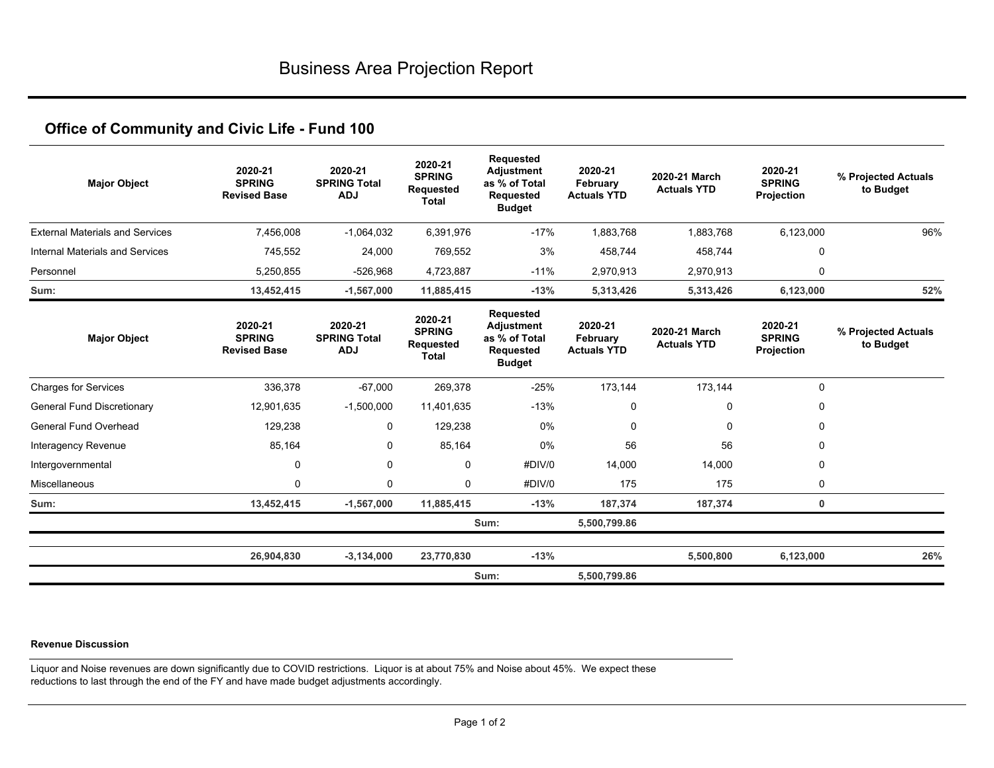| <b>Major Object</b>                    | 2020-21<br><b>SPRING</b><br><b>Revised Base</b> | 2020-21<br><b>SPRING Total</b><br><b>ADJ</b> | 2020-21<br><b>SPRING</b><br><b>Requested</b><br><b>Total</b> | Requested<br>Adjustment<br>as % of Total<br>Requested<br><b>Budget</b>        | 2020-21<br>February<br><b>Actuals YTD</b> | 2020-21 March<br><b>Actuals YTD</b> | 2020-21<br><b>SPRING</b><br>Projection | % Projected Actuals<br>to Budget |
|----------------------------------------|-------------------------------------------------|----------------------------------------------|--------------------------------------------------------------|-------------------------------------------------------------------------------|-------------------------------------------|-------------------------------------|----------------------------------------|----------------------------------|
| <b>External Materials and Services</b> | 7,456,008                                       | $-1,064,032$                                 | 6.391.976                                                    | $-17%$                                                                        | 1,883,768                                 | 1,883,768                           | 6,123,000                              | 96%                              |
| Internal Materials and Services        | 745,552                                         | 24,000                                       | 769,552                                                      | 3%                                                                            | 458,744                                   | 458,744                             | 0                                      |                                  |
| Personnel                              | 5,250,855                                       | $-526,968$                                   | 4,723,887                                                    | $-11%$                                                                        | 2,970,913                                 | 2,970,913                           | 0                                      |                                  |
| Sum:                                   | 13,452,415                                      | $-1,567,000$                                 | 11,885,415                                                   | $-13%$                                                                        | 5,313,426                                 | 5,313,426                           | 6,123,000                              | 52%                              |
| <b>Major Object</b>                    | 2020-21<br><b>SPRING</b><br><b>Revised Base</b> | 2020-21<br><b>SPRING Total</b><br><b>ADJ</b> | 2020-21<br><b>SPRING</b><br><b>Requested</b><br><b>Total</b> | Requested<br><b>Adjustment</b><br>as % of Total<br>Requested<br><b>Budget</b> | 2020-21<br>February<br><b>Actuals YTD</b> | 2020-21 March<br><b>Actuals YTD</b> | 2020-21<br><b>SPRING</b><br>Projection | % Projected Actuals<br>to Budget |
| <b>Charges for Services</b>            | 336,378                                         | $-67,000$                                    | 269,378                                                      | $-25%$                                                                        | 173,144                                   | 173,144                             | $\mathbf 0$                            |                                  |
| <b>General Fund Discretionary</b>      | 12,901,635                                      | $-1,500,000$                                 | 11,401,635                                                   | $-13%$                                                                        | 0                                         | 0                                   | 0                                      |                                  |
| General Fund Overhead                  | 129,238                                         | 0                                            | 129,238                                                      | 0%                                                                            | 0                                         | $\Omega$                            | 0                                      |                                  |
| Interagency Revenue                    | 85,164                                          | 0                                            | 85,164                                                       | 0%                                                                            | 56                                        | 56                                  | 0                                      |                                  |
| Intergovernmental                      | 0                                               | 0                                            | 0                                                            | #DIV/0                                                                        | 14,000                                    | 14,000                              | 0                                      |                                  |
| Miscellaneous                          | $\mathbf 0$                                     | 0                                            | $\Omega$                                                     | #DIV/0                                                                        | 175                                       | 175                                 | 0                                      |                                  |
| Sum:                                   | 13,452,415                                      | $-1,567,000$                                 | 11,885,415                                                   | $-13%$                                                                        | 187,374                                   | 187,374                             | $\mathbf{0}$                           |                                  |
|                                        |                                                 |                                              |                                                              | Sum:                                                                          | 5,500,799.86                              |                                     |                                        |                                  |
|                                        | 26,904,830                                      | $-3,134,000$                                 | 23,770,830                                                   | $-13%$                                                                        |                                           | 5,500,800                           | 6,123,000                              | 26%                              |
|                                        |                                                 |                                              |                                                              | Sum:                                                                          | 5,500,799.86                              |                                     |                                        |                                  |

#### **Revenue Discussion**

Liquor and Noise revenues are down significantly due to COVID restrictions. Liquor is at about 75% and Noise about 45%. We expect these reductions to last through the end of the FY and have made budget adjustments accordingly.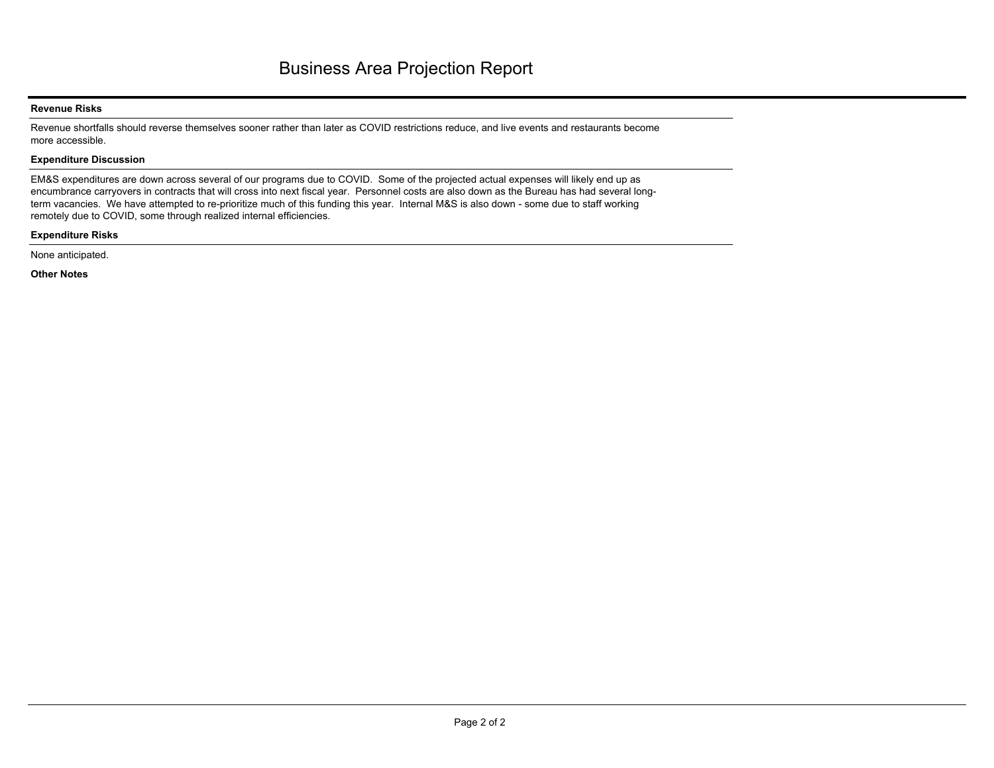#### **Revenue Risks**

Revenue shortfalls should reverse themselves sooner rather than later as COVID restrictions reduce, and live events and restaurants become more accessible.

#### **Expenditure Discussion**

EM&S expenditures are down across several of our programs due to COVID. Some of the projected actual expenses will likely end up as encumbrance carryovers in contracts that will cross into next fiscal year. Personnel costs are also down as the Bureau has had several longterm vacancies. We have attempted to re-prioritize much of this funding this year. Internal M&S is also down - some due to staff working remotely due to COVID, some through realized internal efficiencies.

#### **Expenditure Risks**

None anticipated.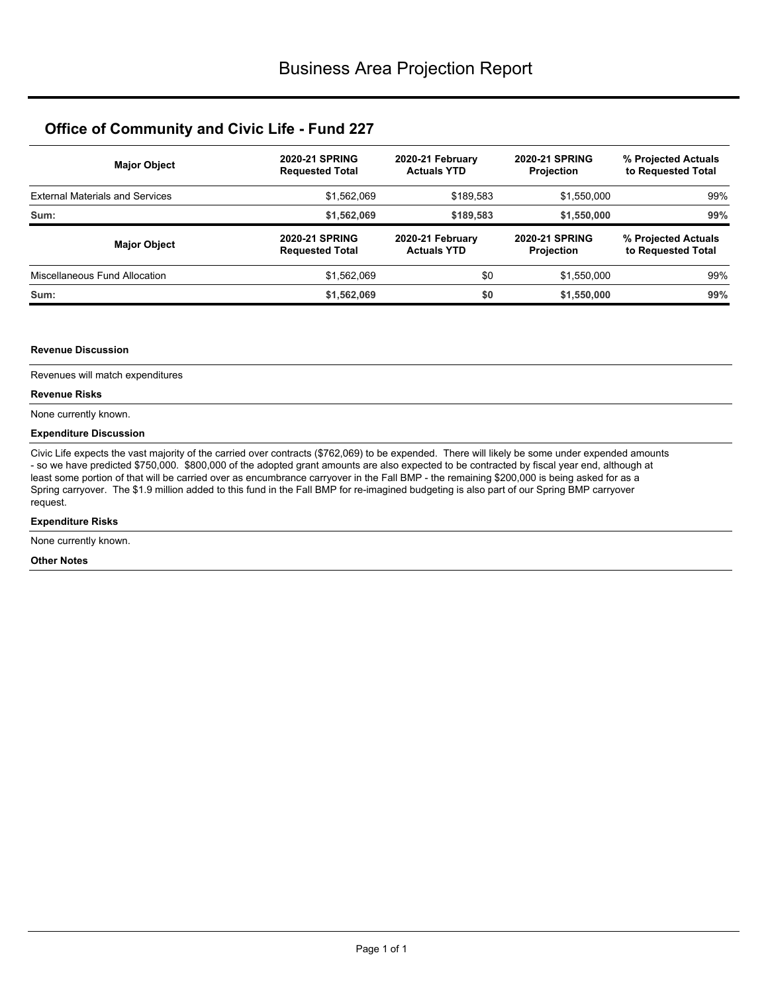| <b>Major Object</b>                    | <b>2020-21 SPRING</b><br><b>Requested Total</b> | <b>2020-21 SPRING</b><br>2020-21 February<br><b>Actuals YTD</b><br><b>Projection</b> |                                            | % Projected Actuals<br>to Requested Total |  |
|----------------------------------------|-------------------------------------------------|--------------------------------------------------------------------------------------|--------------------------------------------|-------------------------------------------|--|
| <b>External Materials and Services</b> | \$1,562,069                                     | \$189,583                                                                            | \$1.550.000                                | 99%                                       |  |
| Sum:                                   | \$1,562,069                                     | \$189,583                                                                            | \$1,550,000                                | 99%                                       |  |
|                                        |                                                 |                                                                                      |                                            |                                           |  |
| <b>Major Object</b>                    | <b>2020-21 SPRING</b><br><b>Requested Total</b> | 2020-21 February<br><b>Actuals YTD</b>                                               | <b>2020-21 SPRING</b><br><b>Projection</b> | % Projected Actuals<br>to Requested Total |  |
| Miscellaneous Fund Allocation          | \$1,562,069                                     | \$0                                                                                  | \$1,550,000                                | 99%                                       |  |

#### **Revenue Discussion**

Revenues will match expenditures

#### **Revenue Risks**

None currently known.

#### **Expenditure Discussion**

Civic Life expects the vast majority of the carried over contracts (\$762,069) to be expended. There will likely be some under expended amounts - so we have predicted \$750,000. \$800,000 of the adopted grant amounts are also expected to be contracted by fiscal year end, although at least some portion of that will be carried over as encumbrance carryover in the Fall BMP - the remaining \$200,000 is being asked for as a Spring carryover. The \$1.9 million added to this fund in the Fall BMP for re-imagined budgeting is also part of our Spring BMP carryover request.

#### **Expenditure Risks**

None currently known.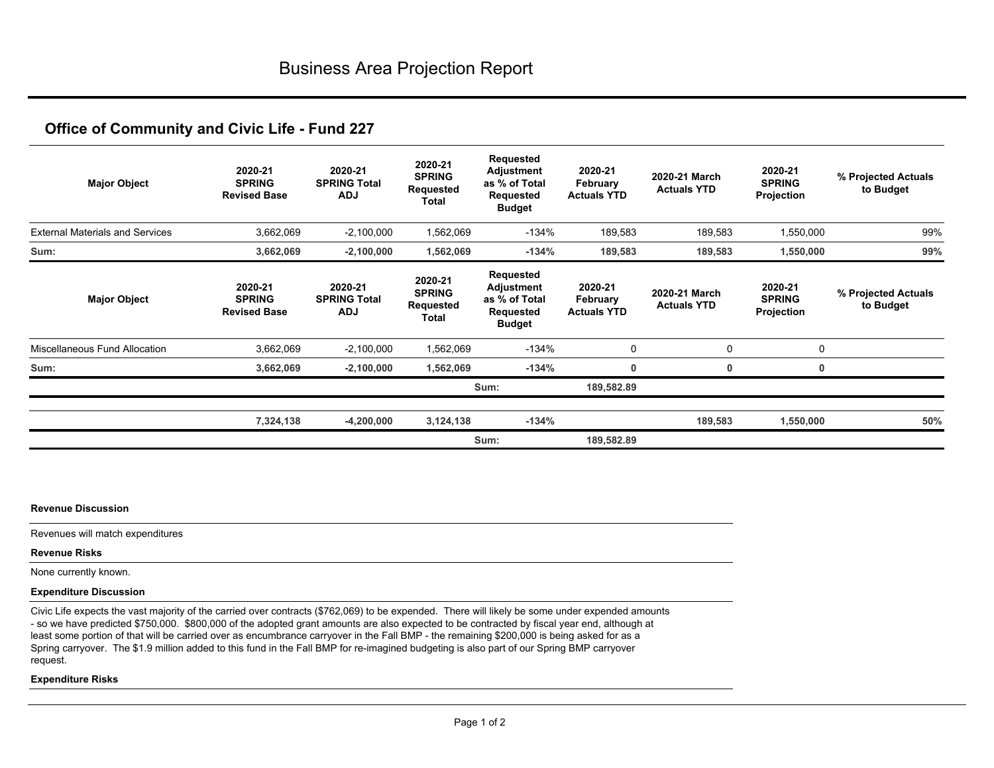| <b>Major Object</b>                    | 2020-21<br><b>SPRING</b><br><b>Revised Base</b> | 2020-21<br><b>SPRING Total</b><br><b>ADJ</b> | 2020-21<br><b>SPRING</b><br>Requested<br>Total | <b>Requested</b><br><b>Adjustment</b><br>as % of Total<br><b>Requested</b><br><b>Budget</b> | 2020-21<br>February<br><b>Actuals YTD</b> | 2020-21 March<br><b>Actuals YTD</b> | 2020-21<br><b>SPRING</b><br>Projection | % Projected Actuals<br>to Budget |
|----------------------------------------|-------------------------------------------------|----------------------------------------------|------------------------------------------------|---------------------------------------------------------------------------------------------|-------------------------------------------|-------------------------------------|----------------------------------------|----------------------------------|
| <b>External Materials and Services</b> | 3,662,069                                       | $-2,100,000$                                 | 1,562,069                                      | $-134%$                                                                                     | 189,583                                   | 189,583                             | 1,550,000                              | 99%                              |
| Sum:                                   | 3,662,069                                       | $-2,100,000$                                 | 1,562,069                                      | $-134%$                                                                                     | 189,583                                   | 189,583                             | 1,550,000                              | 99%                              |
| <b>Major Object</b>                    | 2020-21<br><b>SPRING</b><br><b>Revised Base</b> | 2020-21<br><b>SPRING Total</b><br><b>ADJ</b> | 2020-21<br><b>SPRING</b><br>Requested<br>Total | <b>Requested</b><br><b>Adjustment</b><br>as % of Total<br>Requested<br><b>Budget</b>        | 2020-21<br>February<br><b>Actuals YTD</b> | 2020-21 March<br><b>Actuals YTD</b> | 2020-21<br><b>SPRING</b><br>Projection | % Projected Actuals<br>to Budget |
| Miscellaneous Fund Allocation          | 3,662,069                                       | $-2,100,000$                                 | 1,562,069                                      | $-134%$                                                                                     | $\mathbf 0$                               | $\mathbf 0$                         | $\mathbf 0$                            |                                  |
| Sum:                                   | 3,662,069                                       | $-2,100,000$                                 | 1,562,069                                      | $-134%$                                                                                     | 0                                         | 0                                   | $\mathbf 0$                            |                                  |
|                                        |                                                 |                                              |                                                | Sum:                                                                                        | 189,582.89                                |                                     |                                        |                                  |
|                                        | 7,324,138                                       | $-4,200,000$                                 | 3,124,138                                      | $-134%$                                                                                     |                                           | 189,583                             | 1,550,000                              | 50%                              |
|                                        |                                                 |                                              |                                                | Sum:                                                                                        | 189,582.89                                |                                     |                                        |                                  |

#### **Revenue Discussion**

Revenues will match expenditures

#### **Revenue Risks**

None currently known.

#### **Expenditure Discussion**

Civic Life expects the vast majority of the carried over contracts (\$762,069) to be expended. There will likely be some under expended amounts - so we have predicted \$750,000. \$800,000 of the adopted grant amounts are also expected to be contracted by fiscal year end, although at least some portion of that will be carried over as encumbrance carryover in the Fall BMP - the remaining \$200,000 is being asked for as a Spring carryover. The \$1.9 million added to this fund in the Fall BMP for re-imagined budgeting is also part of our Spring BMP carryover request.

#### **Expenditure Risks**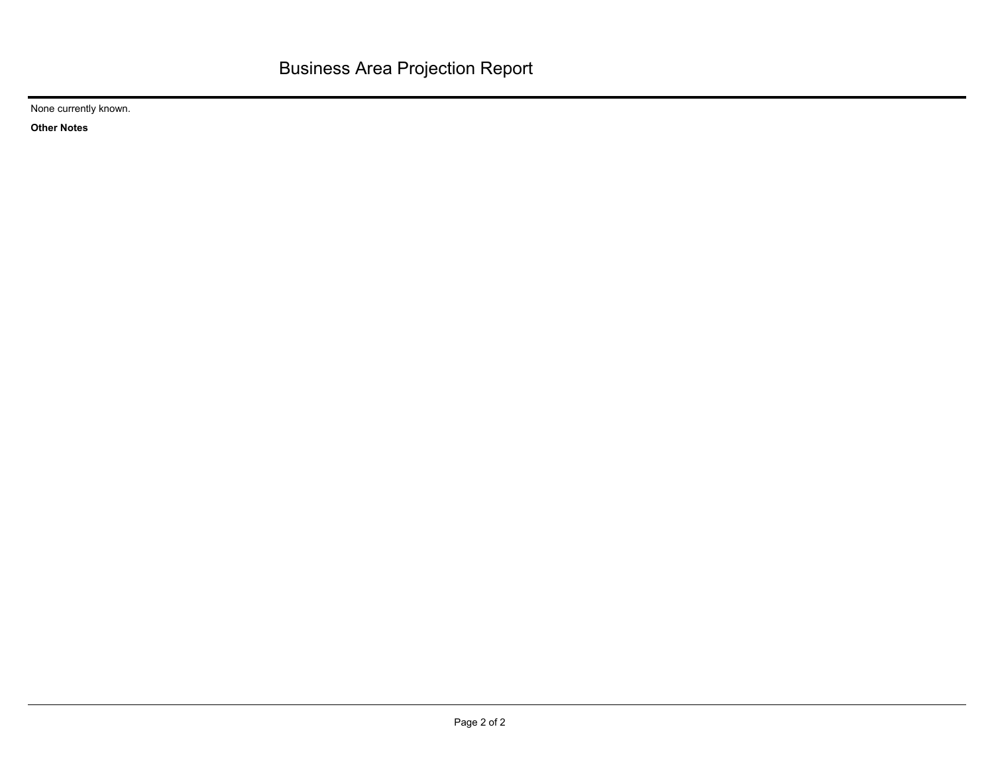None currently known.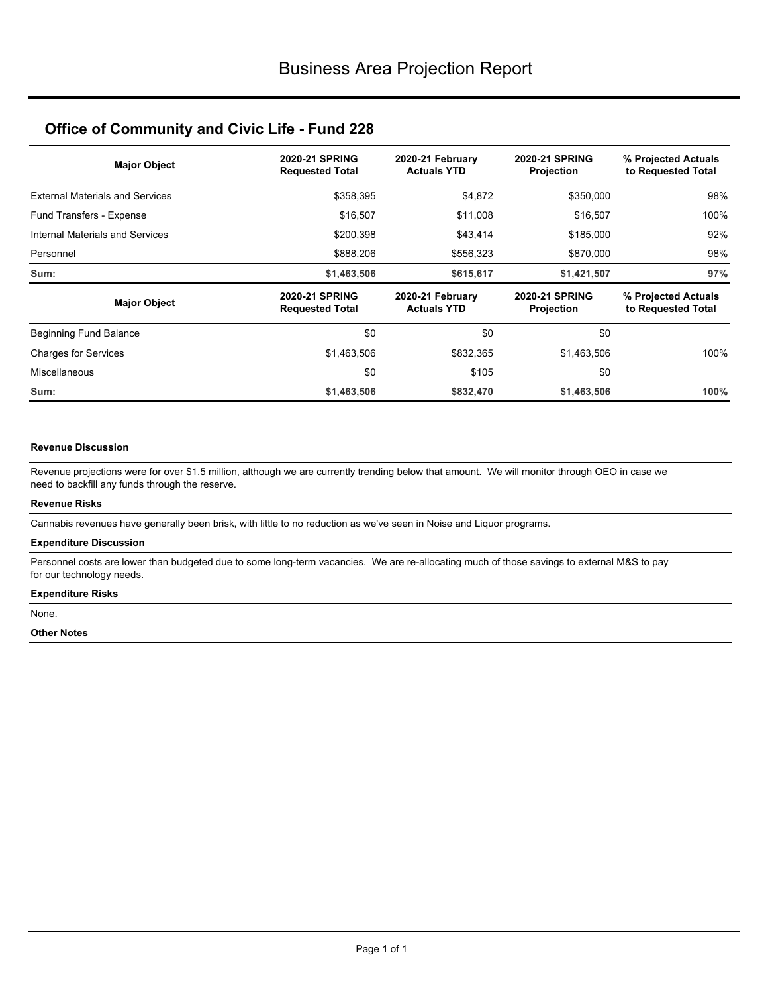| <b>Major Object</b>                    | <b>2020-21 SPRING</b><br><b>Requested Total</b> | 2020-21 February<br><b>Actuals YTD</b> | <b>2020-21 SPRING</b><br><b>Projection</b> | % Projected Actuals<br>to Requested Total |  |
|----------------------------------------|-------------------------------------------------|----------------------------------------|--------------------------------------------|-------------------------------------------|--|
| <b>External Materials and Services</b> | \$358,395                                       | \$4,872                                | \$350,000                                  | 98%                                       |  |
| Fund Transfers - Expense               | \$16,507                                        | \$11,008                               | \$16,507                                   | 100%                                      |  |
| Internal Materials and Services        | \$200,398                                       | \$43,414                               | \$185,000                                  | 92%                                       |  |
| Personnel                              | \$888,206                                       | \$556,323                              | \$870,000                                  | 98%                                       |  |
| Sum:                                   | \$1,463,506                                     | \$615,617                              | \$1,421,507                                | 97%                                       |  |
| <b>Major Object</b>                    | <b>2020-21 SPRING</b><br><b>Requested Total</b> | 2020-21 February<br><b>Actuals YTD</b> | <b>2020-21 SPRING</b><br><b>Projection</b> | % Projected Actuals<br>to Requested Total |  |
| <b>Beginning Fund Balance</b>          | \$0                                             | \$0                                    | \$0                                        |                                           |  |
| <b>Charges for Services</b>            | \$1,463,506                                     | \$832,365                              | \$1,463,506                                | 100%                                      |  |
| Miscellaneous                          | \$0                                             | \$105                                  | \$0                                        |                                           |  |
| Sum:                                   | \$1,463,506                                     | \$832,470                              | \$1,463,506                                | 100%                                      |  |

#### **Revenue Discussion**

Revenue projections were for over \$1.5 million, although we are currently trending below that amount. We will monitor through OEO in case we need to backfill any funds through the reserve.

#### **Revenue Risks**

Cannabis revenues have generally been brisk, with little to no reduction as we've seen in Noise and Liquor programs.

#### **Expenditure Discussion**

Personnel costs are lower than budgeted due to some long-term vacancies. We are re-allocating much of those savings to external M&S to pay for our technology needs.

#### **Expenditure Risks**

None.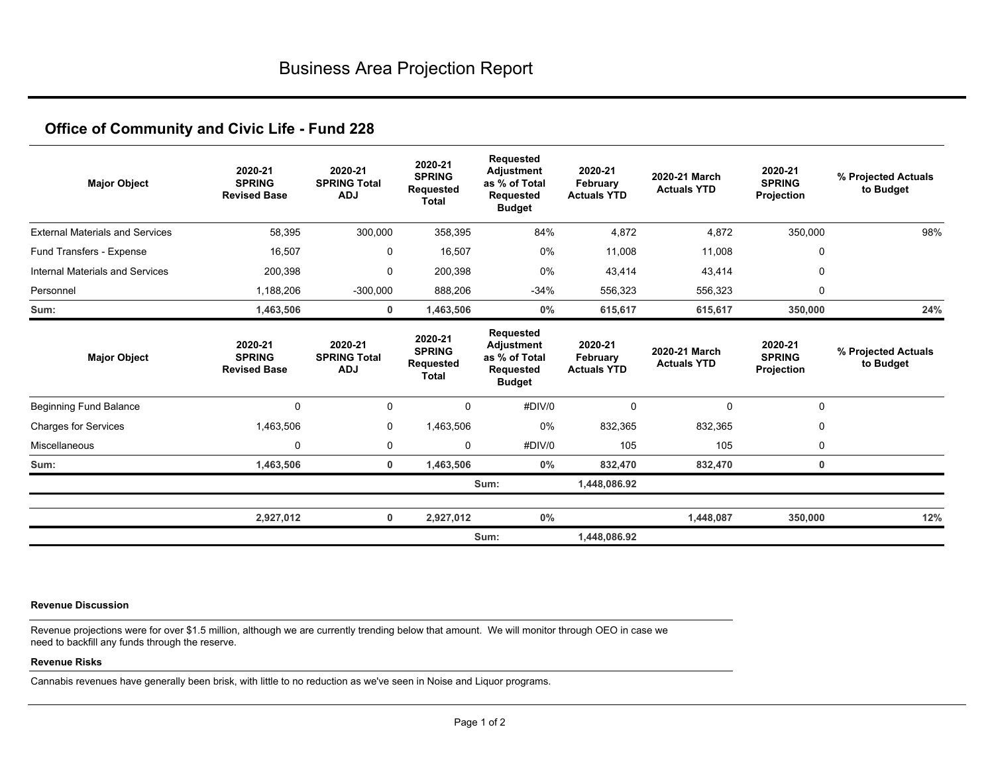| <b>Major Object</b>                    | 2020-21<br><b>SPRING</b><br><b>Revised Base</b> | 2020-21<br><b>SPRING Total</b><br><b>ADJ</b> | 2020-21<br><b>SPRING</b><br><b>Requested</b><br><b>Total</b> | <b>Requested</b><br><b>Adjustment</b><br>as % of Total<br><b>Requested</b><br><b>Budget</b> | 2020-21<br>February<br><b>Actuals YTD</b> | 2020-21 March<br><b>Actuals YTD</b> | 2020-21<br><b>SPRING</b><br>Projection | % Projected Actuals<br>to Budget |
|----------------------------------------|-------------------------------------------------|----------------------------------------------|--------------------------------------------------------------|---------------------------------------------------------------------------------------------|-------------------------------------------|-------------------------------------|----------------------------------------|----------------------------------|
| <b>External Materials and Services</b> | 58,395                                          | 300,000                                      | 358,395                                                      | 84%                                                                                         | 4,872                                     | 4,872                               | 350,000                                | 98%                              |
| Fund Transfers - Expense               | 16,507                                          | 0                                            | 16,507                                                       | 0%                                                                                          | 11,008                                    | 11.008                              | 0                                      |                                  |
| Internal Materials and Services        | 200,398                                         | 0                                            | 200,398                                                      | 0%                                                                                          | 43,414                                    | 43,414                              | $\Omega$                               |                                  |
| Personnel                              | 1,188,206                                       | $-300,000$                                   | 888,206                                                      | $-34%$                                                                                      | 556,323                                   | 556,323                             | 0                                      |                                  |
| Sum:                                   | 1,463,506                                       | 0                                            | 1,463,506                                                    | $0\%$                                                                                       | 615,617                                   | 615,617                             | 350,000                                | 24%                              |
| <b>Major Object</b>                    | 2020-21<br><b>SPRING</b><br><b>Revised Base</b> | 2020-21<br><b>SPRING Total</b><br><b>ADJ</b> | 2020-21<br><b>SPRING</b><br><b>Requested</b><br><b>Total</b> | Requested<br><b>Adjustment</b><br>as % of Total<br><b>Requested</b><br><b>Budget</b>        | 2020-21<br>February<br><b>Actuals YTD</b> | 2020-21 March<br><b>Actuals YTD</b> | 2020-21<br><b>SPRING</b><br>Projection | % Projected Actuals<br>to Budget |
| <b>Beginning Fund Balance</b>          | 0                                               | 0                                            | $\Omega$                                                     | #DIV/0                                                                                      | $\Omega$                                  | 0                                   | $\Omega$                               |                                  |
| <b>Charges for Services</b>            | 1,463,506                                       | $\mathbf 0$                                  | 1,463,506                                                    | 0%                                                                                          | 832.365                                   | 832.365                             | 0                                      |                                  |
| Miscellaneous                          | 0                                               | 0                                            | $\mathbf 0$                                                  | #DIV/0                                                                                      | 105                                       | 105                                 | $\mathbf 0$                            |                                  |
| Sum:                                   | 1,463,506                                       | 0                                            | 1,463,506                                                    | $0\%$                                                                                       | 832,470                                   | 832,470                             | 0                                      |                                  |
|                                        |                                                 |                                              |                                                              | Sum:                                                                                        | 1,448,086.92                              |                                     |                                        |                                  |
|                                        | 2,927,012                                       | 0                                            | 2,927,012                                                    | $0\%$                                                                                       |                                           | 1,448,087                           | 350,000                                | 12%                              |
|                                        |                                                 |                                              |                                                              | Sum:                                                                                        | 1,448,086.92                              |                                     |                                        |                                  |

#### **Revenue Discussion**

Revenue projections were for over \$1.5 million, although we are currently trending below that amount. We will monitor through OEO in case we need to backfill any funds through the reserve.

#### **Revenue Risks**

Cannabis revenues have generally been brisk, with little to no reduction as we've seen in Noise and Liquor programs.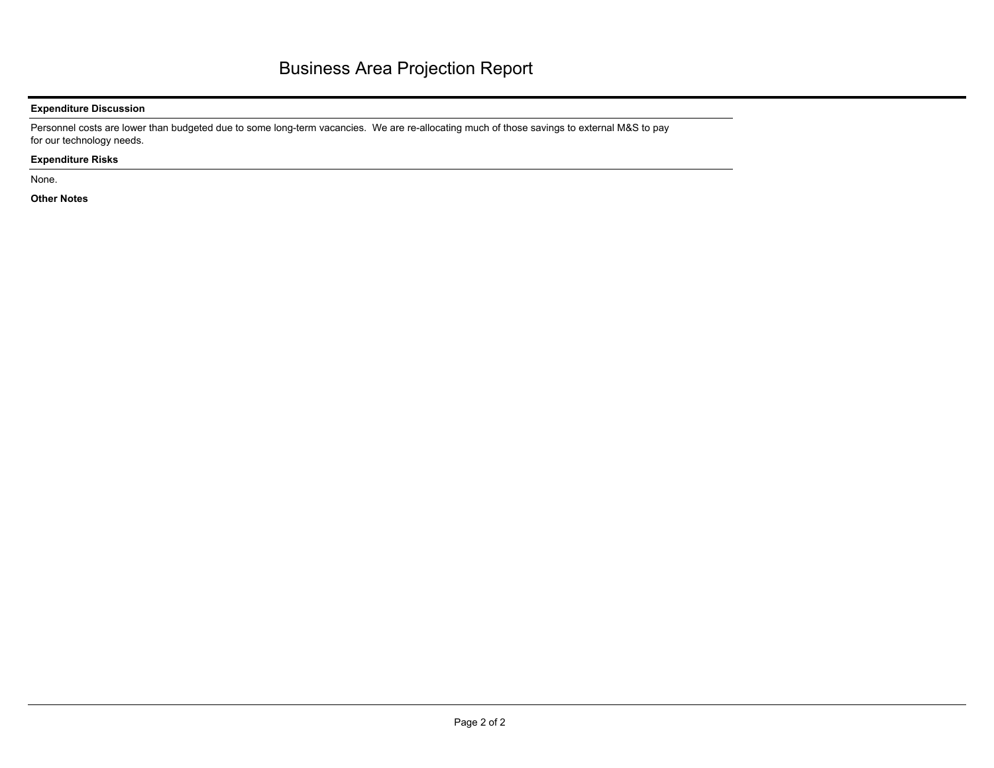#### **Expenditure Discussion**

Personnel costs are lower than budgeted due to some long-term vacancies. We are re-allocating much of those savings to external M&S to pay for our technology needs.

#### **Expenditure Risks**

None.